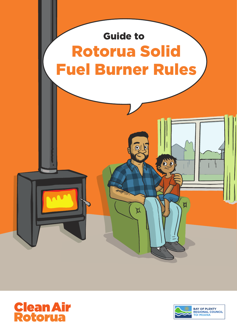



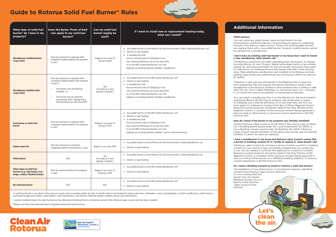#### **I** ave an existing solid fuel burner in my house but I want to install **a new woodburner, what should I do?**

torua community has been upgrading their old burners to cleaner devices for over 15 years. Newer technology results in less smoke, air, and improved health for the community. Previously there were ictions on installing burners into homes that didn't have existing lany additional woodburners got installed in the Rotorua Airshed, more smoke and undermining the community's efforts to improve

re, a new rule was introduced in the Regional Plan to stop this appening. The rule requires the person wanting to install a new urner in the Rotorua Airshed to find someone who is willing to take out. This is called offsetting, i.e. one burner goes out - one goes verall the level of air pollution is maintained or reduced.

install a woodburner that is on the Ministry for the Environment's sed Burner list that has an emission rate of less than or equal g/kg and a thermal efficiency of no less than 65%, but first you orderstanding and the consent from Bay of Plenty Regional Council. ce consent enquiries should be made to the Duty Planner at the al Council. A condition of the resource consent being approved is find an offset burner. A resource consent application is  $$2,700$ 

#### **H** know if the burner in my property was lawfully installed?

Rotorua Lakes Council and ask them if they hold a copy of either: ilding permit issued under the Local Government Act 2002, or iilding consent issued under the Building Act 2004. If Rotorua Council cannot find either of the above your burner was not lawfully d. It cannot be used nor replaced.

\*A solid fuel burner is any device that can burn wood, coal or wooden pellets for fuel. It includes (but is not limited to) indoor open fires, Jetmasters, visors, freestanding or inbuilt woodburners, pellet burners, coal/wood ranges and cookers, chip heaters, multi-fuel burners, coal burners, Marshall heaters, potbelly stoves and some boilers.

+ Lawfully installed means the solid fuel burner has obtained a Building Permit or Building Consent from Rotorua Lakes Council and has been installed.

#Please visit https://environment.govt.nz/guides/authorised-wood-burners

# **Clean Air Potorua**



## **Guide to Rotorua Solid Fuel Burner\* Rules**

| What type of solid fuel<br>burner* do I have in my<br>property?                                 | Does the Bylaw 'Point of Sale'<br>rule apply to my solid fuel<br>burner?                                                                                                                                                                                    | Can my solid fuel<br>burner legally be<br>used?   | If I want to install new or replacement heating today,<br>what can I install?                                                                                                                                                                                                                                                                                | <b>Additio</b><br><b>Pellet burners</b><br>You can install<br>Environment's                                                                                                                                                  |
|-------------------------------------------------------------------------------------------------|-------------------------------------------------------------------------------------------------------------------------------------------------------------------------------------------------------------------------------------------------------------|---------------------------------------------------|--------------------------------------------------------------------------------------------------------------------------------------------------------------------------------------------------------------------------------------------------------------------------------------------------------------------------------------------------------------|------------------------------------------------------------------------------------------------------------------------------------------------------------------------------------------------------------------------------|
| Woodburner installed before<br>1 Sept 2005                                                      | Must be removed or replaced with<br>compliant heating before the property<br>is sold                                                                                                                                                                        | Illegal to use since 31<br>January 2020           | • Any pellet burner on the Ministry for the Environment's (MfE) Authorised Burner List <sup>#</sup><br>• Electric or gas heating<br>• A woodburner that:<br>-has an emission rate of 0.60g/kg or less<br>-has a thermal efficiency of no less than 65%<br>-is on the MfE Authorised Burner List; and<br>-replaces an existing lawfully installed* woodburner | Consent from<br>can replace the<br>be replaced by<br>I don't have ar<br>a new woodbu<br>The Rotorua c<br>burning device<br>cleaner air, and<br>no restrictions<br>ones. Many ad                                              |
| Woodburner installed after<br>1 Sept 2005                                                       | Must be removed or replaced with<br>compliant heating before the property<br>is sold if:<br>The burner was not lawfully<br>installed <sup>+</sup> , or<br>The burner has an emission<br>rate greater than 1.5g/kg and a<br>thermal efficiency less than 65% | Yes<br>(As long as it was<br>lawfully installed*) | • Any pellet burner on the MfE Authorised Burner List <sup>#</sup><br>Electric or gas heating<br>$\bullet$<br>• A woodburner that:<br>-has an emission rate of 0.60g/kg or less<br>-has a thermal efficiency of no less than 65%<br>-is on the MfE Authorised Burner List; and<br>-replaces an existing lawfully installed* woodburner                       | adding more s<br>air quality.<br>Therefore, a ne<br>from happenin<br>woodburner in<br>their fire out. T<br>in, so overall th<br>You can install<br><b>Authorised Bu</b><br>to 0.60g/kg ar<br>must apply for<br>Resource cons |
| <b>Coal burner or multi-fuel</b><br>burner                                                      | Must be removed or replaced with<br>compliant heating before the property<br>is sold                                                                                                                                                                        | Illegal to use since 31<br>January 2020           | • Any pellet burner on the MfE Authorised Burner List <sup>#</sup><br>• Electric or gas heating<br>• A woodburner that:<br>-has an emission rate of 0.60g/kg or less<br>-has a thermal efficiency of no less than 65%<br>-is on the MfE Authorised Burner List; and<br>-replaces an existing lawfully installed <sup>+</sup> coal or multi-fuel burner       | <b>Regional Coun</b><br>that you find a<br>inclusive GST.<br>How do I knov<br>Contact Rotor<br>(a) A building<br>(b) A Building<br>Lakes Council<br>installed. It car                                                        |
| Indoor open fire                                                                                | Must be removed or rendered<br>inoperable before the property is sold                                                                                                                                                                                       | Illegal to use since 2015                         | • Any pellet burner on the Ministry for the Environment's Authorised Burner List<br>• Electric or gas heating                                                                                                                                                                                                                                                | I have a wood<br>a permit or bu<br>If Rotorua Lak<br>consent for yo<br>it, nor can you                                                                                                                                       |
| <b>Pellet burner</b>                                                                            | N/A                                                                                                                                                                                                                                                         | Yes<br>(As long as it was<br>lawfully installed*) | • Any pellet burner on the Ministry for the Environment's Authorised Burner List<br>• Electric or gas heating                                                                                                                                                                                                                                                | Resource cons<br><b>Regional Coun</b><br>that you find a<br>consent applic                                                                                                                                                   |
| Other types of solid fuel<br>burners (e.g. chip heater, coal<br>range, cooker, Marshall heater) | Must be removed before the property<br>is sold                                                                                                                                                                                                              | Illegal to use since 27<br>February 2018          | • Any pellet burner on the MfE Authorised Burner List#<br>• Electric or gas heating                                                                                                                                                                                                                                                                          | Do I need a Bu<br>The installation<br>Consent from<br>of your existing<br>burner may no                                                                                                                                      |
| No solid fuel burner                                                                            | N/A                                                                                                                                                                                                                                                         | N/A                                               | • Any pellet burner on the MfE Authorised Burner List#<br>• Electric or gas heating                                                                                                                                                                                                                                                                          | <b>Building Conse</b><br>best to notify<br>Lakes Council<br>removal.                                                                                                                                                         |

Let's

clean

the air.

### **Additional information**

install any pellet burner listed on the Ministry for the ment's Authorised Burner List provided you apply for a Building from Rotorua Lakes Council. Those with existing pellet burners lace them with a new pellet burner; however, a pellet burner cannot aced by a woodburner.

#### **I have a woodburner in my house but Rotorua Lakes Council cannot find a permit or building consent for it. I'd like to replace it, what should I do?**

ua Lakes Council do not have a record of either a permit or building conserval for your burner it was not lawfully installed and you cannot use  $\overline{\phantom{a}}$ an you replace it (without first applying for a resource consent). ce consent enquiries should be made to the Duty Planner at the al Council. A condition of the resource consent being approved is  $\frac{1}{2}$  find an offset burner (at a different property address). A resource application is \$2,700 inclusive GST.

#### **Do I need a Building Consent to install or remove a solid fuel burner?**

allation of any pellet burner or woodburner requires a Building from Rotorua Lakes Council. Removal existing solid fuel

nay not require Consent, but it is notify Rotorua Council of the